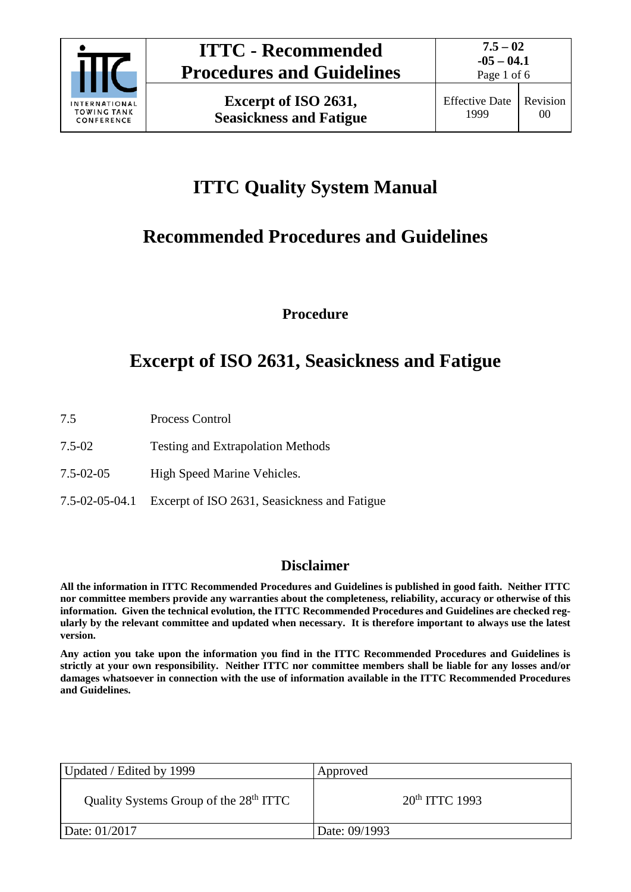

Page 1 of 6

# **ITTC Quality System Manual**

# **Recommended Procedures and Guidelines**

**Procedure**

# **Excerpt of ISO 2631, Seasickness and Fatigue**

- 7.5 Process Control
- 7.5-02 Testing and Extrapolation Methods
- 7.5-02-05 High Speed Marine Vehicles.
- 7.5-02-05-04.1 Excerpt of ISO 2631, Seasickness and Fatigue

### **Disclaimer**

**All the information in ITTC Recommended Procedures and Guidelines is published in good faith. Neither ITTC nor committee members provide any warranties about the completeness, reliability, accuracy or otherwise of this information. Given the technical evolution, the ITTC Recommended Procedures and Guidelines are checked regularly by the relevant committee and updated when necessary. It is therefore important to always use the latest version.**

**Any action you take upon the information you find in the ITTC Recommended Procedures and Guidelines is strictly at your own responsibility. Neither ITTC nor committee members shall be liable for any losses and/or damages whatsoever in connection with the use of information available in the ITTC Recommended Procedures and Guidelines.**

| Updated / Edited by 1999                           | Approved            |
|----------------------------------------------------|---------------------|
| Quality Systems Group of the 28 <sup>th</sup> ITTC | $20^{th}$ ITTC 1993 |
| Date: 01/2017                                      | Date: 09/1993       |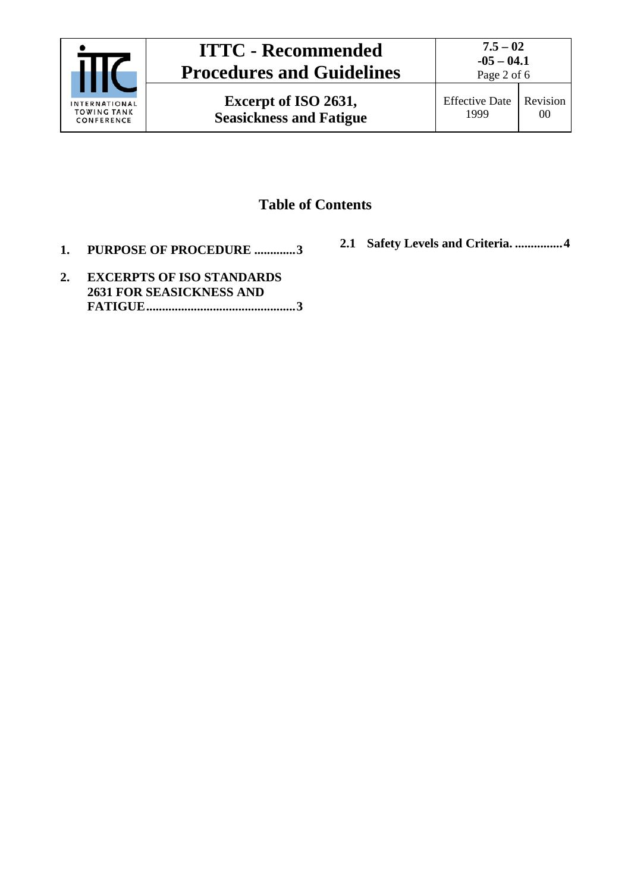

**Excerpt of ISO 2631, Seasickness and Fatigue** Effective Date 1999 Revision 00

### **Table of Contents**

- **1. [PURPOSE OF PROCEDURE](#page-2-0) .............3**
- **2.1 [Safety Levels and Criteria.](#page-3-0) ...............4**
- **2. [EXCERPTS OF ISO STANDARDS](#page-2-1)  [2631 FOR SEASICKNESS](#page-2-1) AND [FATIGUE...............................................3](#page-2-1)**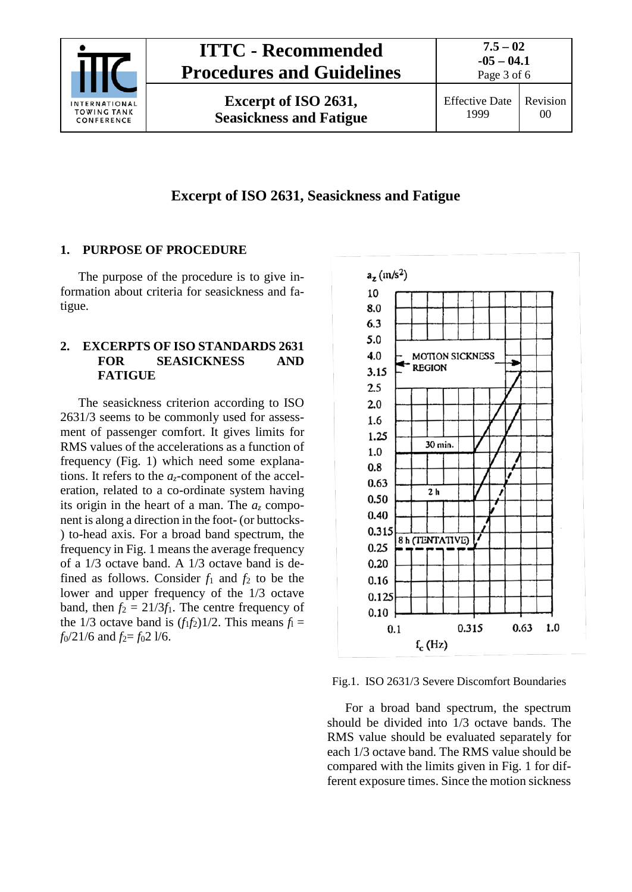

### **Excerpt of ISO 2631, Seasickness and Fatigue**

#### <span id="page-2-0"></span>**1. PURPOSE OF PROCEDURE**

The purpose of the procedure is to give information about criteria for seasickness and fatigue.

#### <span id="page-2-1"></span>**2. EXCERPTS OF ISO STANDARDS 2631 FOR SEASICKNESS AND FATIGUE**

The seasickness criterion according to ISO 2631/3 seems to be commonly used for assessment of passenger comfort. It gives limits for RMS values of the accelerations as a function of frequency (Fig. 1) which need some explanations. It refers to the *az*-component of the acceleration, related to a co-ordinate system having its origin in the heart of a man. The  $a_z$  component is along a direction in the foot- (or buttocks- ) to-head axis. For a broad band spectrum, the frequency in Fig. 1 means the average frequency of a 1/3 octave band. A 1/3 octave band is defined as follows. Consider  $f_1$  and  $f_2$  to be the lower and upper frequency of the 1/3 octave band, then  $f_2 = 21/3f_1$ . The centre frequency of the 1/3 octave band is  $(f_1 f_2)$ 1/2. This means  $f_1 =$  $f_0/21/6$  and  $f_2 = f_0 21/6$ .



Fig.1. ISO 2631/3 Severe Discomfort Boundaries

For a broad band spectrum, the spectrum should be divided into 1/3 octave bands. The RMS value should be evaluated separately for each 1/3 octave band. The RMS value should be compared with the limits given in Fig. 1 for different exposure times. Since the motion sickness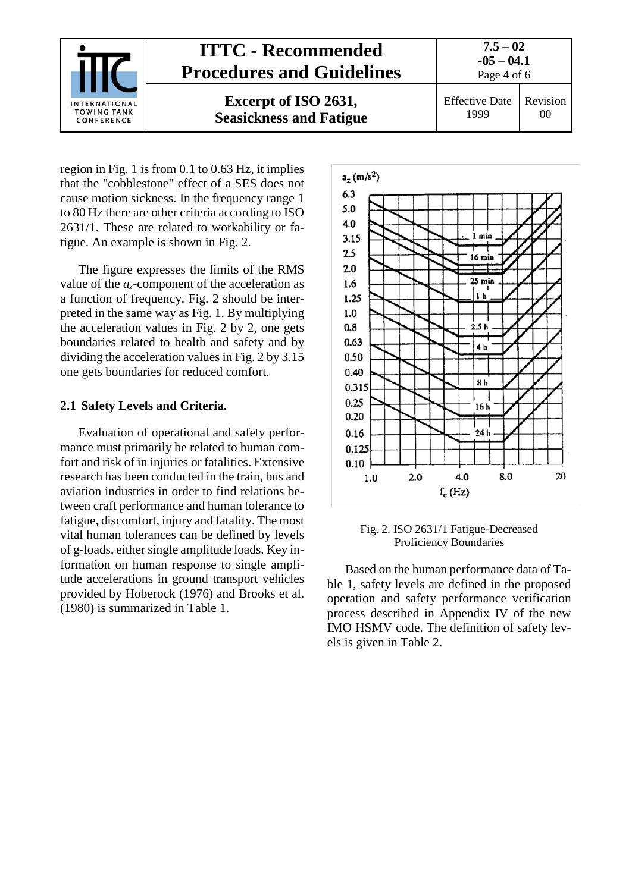

region in Fig. 1 is from 0.1 to 0.63 Hz, it implies that the "cobblestone" effect of a SES does not cause motion sickness. In the frequency range 1 to 80 Hz there are other criteria according to ISO 2631/1. These are related to workability or fatigue. An example is shown in Fig. 2.

The figure expresses the limits of the RMS value of the *az*-component of the acceleration as a function of frequency. Fig. 2 should be interpreted in the same way as Fig. 1. By multiplying the acceleration values in Fig. 2 by 2, one gets boundaries related to health and safety and by dividing the acceleration values in Fig. 2 by 3.15 one gets boundaries for reduced comfort.

#### <span id="page-3-0"></span>**2.1 Safety Levels and Criteria.**

Evaluation of operational and safety performance must primarily be related to human comfort and risk of in injuries or fatalities. Extensive research has been conducted in the train, bus and aviation industries in order to find relations between craft performance and human tolerance to fatigue, discomfort, injury and fatality. The most vital human tolerances can be defined by levels of g-loads, either single amplitude loads. Key information on human response to single amplitude accelerations in ground transport vehicles provided by Hoberock (1976) and Brooks et al. (1980) is summarized in Table 1.





Based on the human performance data of Table 1, safety levels are defined in the proposed operation and safety performance verification process described in Appendix IV of the new IMO HSMV code. The definition of safety levels is given in Table 2.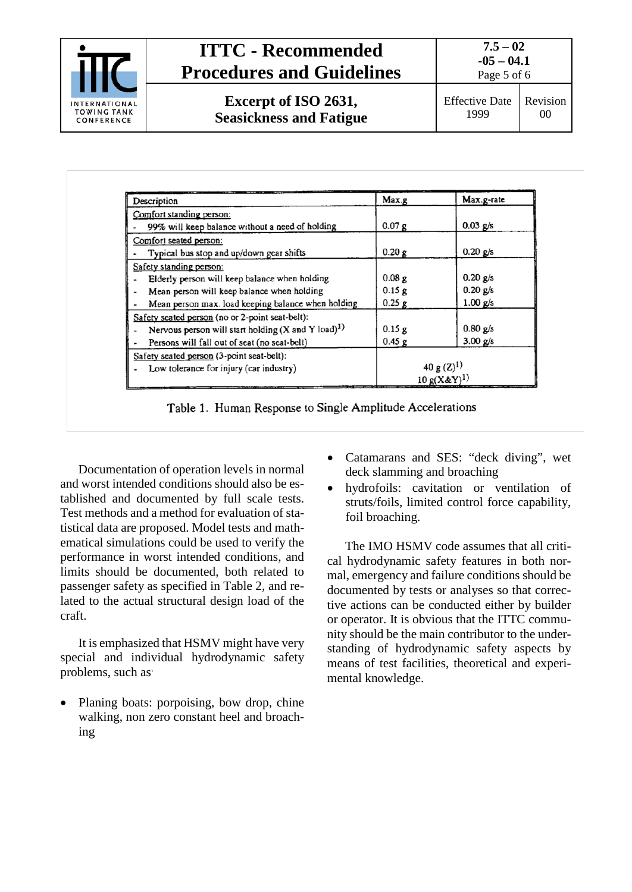

### **ITTC - Recommended Procedures and Guidelines**

**7.5 – 02 -05 – 04.1** Page 5 of 6

**Excerpt of ISO 2631, Seasickness and Fatigue**

| Description                                                           | Max.g            | Max.g-rate |
|-----------------------------------------------------------------------|------------------|------------|
| Comfort standing person:                                              |                  |            |
| 99% will keep balance without a need of holding                       | 0.07 g           | $0.03$ g/s |
| Comfort seated person:                                                |                  |            |
| Typical bus stop and up/down gear shifts                              | 0.20 g           | $0.20$ g/s |
| Safety standing person:                                               |                  |            |
| Elderly person will keep balance when holding                         | 0.08g            | $0.20$ g/s |
| Mean person will keep balance when holding                            | 0.15g            | $0.20$ g/s |
| Mean person max. load keeping balance when holding                    | $0.25$ g         | $1.00$ g/s |
| Safety seated person (no or 2-point seat-belt):                       |                  |            |
| Nervous person will start holding $(X \text{ and } Y \text{ load})^1$ | 0.15g            | $0.80$ g/s |
| Persons will fall out of seat (no seat-belt)                          | 0.45g            | 3.00 g/s   |
| Safety seated person (3-point seat-belt):                             |                  |            |
| Low tolerance for injury (car industry)                               | 40 g $(Z)^1$     |            |
|                                                                       | $10 g(X \& Y)^1$ |            |

Table 1. Human Response to Single Amplitude Accelerations

Documentation of operation levels in normal and worst intended conditions should also be established and documented by full scale tests. Test methods and a method for evaluation of statistical data are proposed. Model tests and mathematical simulations could be used to verify the performance in worst intended conditions, and limits should be documented, both related to passenger safety as specified in Table 2, and related to the actual structural design load of the craft.

It is emphasized that HSMV might have very special and individual hydrodynamic safety problems, such as:

• Planing boats: porpoising, bow drop, chine walking, non zero constant heel and broaching

- Catamarans and SES: "deck diving", wet deck slamming and broaching
- hydrofoils: cavitation or ventilation of struts/foils, limited control force capability, foil broaching.

The IMO HSMV code assumes that all critical hydrodynamic safety features in both normal, emergency and failure conditions should be documented by tests or analyses so that corrective actions can be conducted either by builder or operator. It is obvious that the ITTC community should be the main contributor to the understanding of hydrodynamic safety aspects by means of test facilities, theoretical and experimental knowledge.